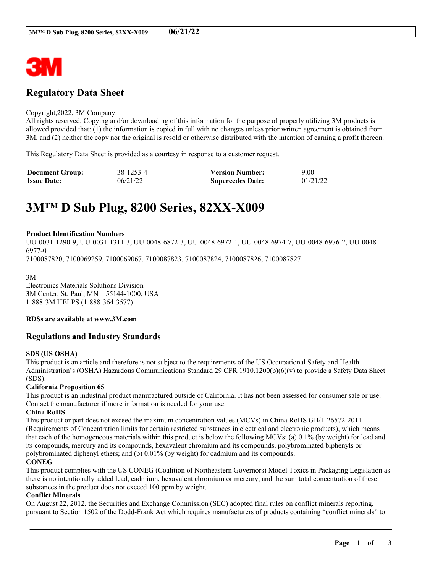

## **Regulatory Data Sheet**

#### Copyright,2022, 3M Company.

All rights reserved. Copying and/or downloading of this information for the purpose of properly utilizing 3M products is allowed provided that: (1) the information is copied in full with no changes unless prior written agreement is obtained from 3M, and (2) neither the copy nor the original is resold or otherwise distributed with the intention of earning a profit thereon.

This Regulatory Data Sheet is provided as a courtesy in response to a customer request.

| <b>Document Group:</b> | 38-1253-4 | <b>Version Number:</b>  | 9.00     |
|------------------------|-----------|-------------------------|----------|
| <b>Issue Date:</b>     | 06/21/22  | <b>Supercedes Date:</b> | 01/21/22 |

# **3M™ D Sub Plug, 8200 Series, 82XX-X009**

#### **Product Identification Numbers**

UU-0031-1290-9, UU-0031-1311-3, UU-0048-6872-3, UU-0048-6972-1, UU-0048-6974-7, UU-0048-6976-2, UU-0048- 6977-0

7100087820, 7100069259, 7100069067, 7100087823, 7100087824, 7100087826, 7100087827

3M

Electronics Materials Solutions Division 3M Center, St. Paul, MN 55144-1000, USA 1-888-3M HELPS (1-888-364-3577)

#### **RDSs are available at www.3M.com**

## **Regulations and Industry Standards**

## **SDS (US OSHA)**

This product is an article and therefore is not subject to the requirements of the US Occupational Safety and Health Administration's (OSHA) Hazardous Communications Standard 29 CFR 1910.1200(b)(6)(v) to provide a Safety Data Sheet (SDS).

## **California Proposition 65**

This product is an industrial product manufactured outside of California. It has not been assessed for consumer sale or use. Contact the manufacturer if more information is needed for your use.

## **China RoHS**

This product or part does not exceed the maximum concentration values (MCVs) in China RoHS GB/T 26572-2011 (Requirements of Concentration limits for certain restricted substances in electrical and electronic products), which means that each of the homogeneous materials within this product is below the following MCVs: (a) 0.1% (by weight) for lead and its compounds, mercury and its compounds, hexavalent chromium and its compounds, polybrominated biphenyls or polybrominated diphenyl ethers; and (b) 0.01% (by weight) for cadmium and its compounds.

## **CONEG**

This product complies with the US CONEG (Coalition of Northeastern Governors) Model Toxics in Packaging Legislation as there is no intentionally added lead, cadmium, hexavalent chromium or mercury, and the sum total concentration of these substances in the product does not exceed 100 ppm by weight.

#### **Conflict Minerals**

On August 22, 2012, the Securities and Exchange Commission (SEC) adopted final rules on conflict minerals reporting, pursuant to Section 1502 of the Dodd-Frank Act which requires manufacturers of products containing "conflict minerals" to

\_\_\_\_\_\_\_\_\_\_\_\_\_\_\_\_\_\_\_\_\_\_\_\_\_\_\_\_\_\_\_\_\_\_\_\_\_\_\_\_\_\_\_\_\_\_\_\_\_\_\_\_\_\_\_\_\_\_\_\_\_\_\_\_\_\_\_\_\_\_\_\_\_\_\_\_\_\_\_\_\_\_\_\_\_\_\_\_\_\_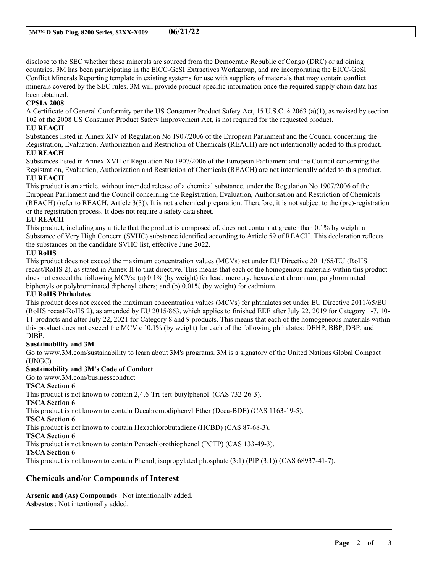disclose to the SEC whether those minerals are sourced from the Democratic Republic of Congo (DRC) or adjoining countries. 3M has been participating in the EICC-GeSI Extractives Workgroup, and are incorporating the EICC-GeSI Conflict Minerals Reporting template in existing systems for use with suppliers of materials that may contain conflict minerals covered by the SEC rules. 3M will provide product-specific information once the required supply chain data has been obtained.

## **CPSIA 2008**

A Certificate of General Conformity per the US Consumer Product Safety Act, 15 U.S.C. § 2063 (a)(1), as revised by section 102 of the 2008 US Consumer Product Safety Improvement Act, is not required for the requested product.

## **EU REACH**

Substances listed in Annex XIV of Regulation No 1907/2006 of the European Parliament and the Council concerning the Registration, Evaluation, Authorization and Restriction of Chemicals (REACH) are not intentionally added to this product. **EU REACH**

Substances listed in Annex XVII of Regulation No 1907/2006 of the European Parliament and the Council concerning the Registration, Evaluation, Authorization and Restriction of Chemicals (REACH) are not intentionally added to this product. **EU REACH**

This product is an article, without intended release of a chemical substance, under the Regulation No 1907/2006 of the European Parliament and the Council concerning the Registration, Evaluation, Authorisation and Restriction of Chemicals (REACH) (refer to REACH, Article 3(3)). It is not a chemical preparation. Therefore, it is not subject to the (pre)-registration or the registration process. It does not require a safety data sheet.

## **EU REACH**

This product, including any article that the product is composed of, does not contain at greater than 0.1% by weight a Substance of Very High Concern (SVHC) substance identified according to Article 59 of REACH. This declaration reflects the substances on the candidate SVHC list, effective June 2022.

## **EU RoHS**

This product does not exceed the maximum concentration values (MCVs) set under EU Directive 2011/65/EU (RoHS recast/RoHS 2), as stated in Annex II to that directive. This means that each of the homogenous materials within this product does not exceed the following MCVs: (a) 0.1% (by weight) for lead, mercury, hexavalent chromium, polybrominated biphenyls or polybrominated diphenyl ethers; and (b) 0.01% (by weight) for cadmium.

## **EU RoHS Phthalates**

This product does not exceed the maximum concentration values (MCVs) for phthalates set under EU Directive 2011/65/EU (RoHS recast/RoHS 2), as amended by EU 2015/863, which applies to finished EEE after July 22, 2019 for Category 1-7, 10- 11 products and after July 22, 2021 for Category 8 and 9 products. This means that each of the homogeneous materials within this product does not exceed the MCV of 0.1% (by weight) for each of the following phthalates: DEHP, BBP, DBP, and DIBP.

## **Sustainability and 3M**

Go to www.3M.com/sustainability to learn about 3M's programs. 3M is a signatory of the United Nations Global Compact (UNGC).

\_\_\_\_\_\_\_\_\_\_\_\_\_\_\_\_\_\_\_\_\_\_\_\_\_\_\_\_\_\_\_\_\_\_\_\_\_\_\_\_\_\_\_\_\_\_\_\_\_\_\_\_\_\_\_\_\_\_\_\_\_\_\_\_\_\_\_\_\_\_\_\_\_\_\_\_\_\_\_\_\_\_\_\_\_\_\_\_\_\_

## **Sustainability and 3M's Code of Conduct**

Go to www.3M.com/businessconduct

## **TSCA Section 6**

This product is not known to contain 2,4,6-Tri-tert-butylphenol (CAS 732-26-3).

**TSCA Section 6**

This product is not known to contain Decabromodiphenyl Ether (Deca-BDE) (CAS 1163-19-5).

**TSCA Section 6**

This product is not known to contain Hexachlorobutadiene (HCBD) (CAS 87-68-3).

## **TSCA Section 6**

This product is not known to contain Pentachlorothiophenol (PCTP) (CAS 133-49-3).

**TSCA Section 6**

This product is not known to contain Phenol, isopropylated phosphate (3:1) (PIP (3:1)) (CAS 68937-41-7).

## **Chemicals and/or Compounds of Interest**

**Arsenic and (As) Compounds** : Not intentionally added. **Asbestos** : Not intentionally added.